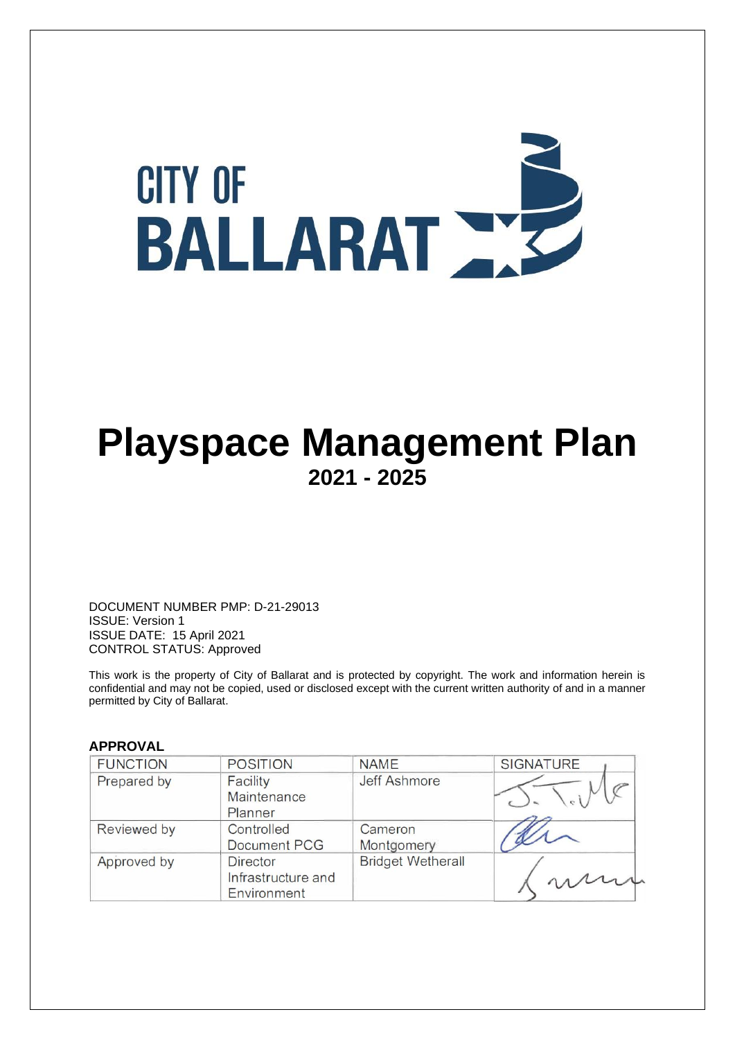

# **Playspace Management Plan 2021 - 2025**

DOCUMENT NUMBER PMP: D-21-29013 ISSUE: Version 1 ISSUE DATE: 15 April 2021 CONTROL STATUS: Approved

This work is the property of City of Ballarat and is protected by copyright. The work and information herein is confidential and may not be copied, used or disclosed except with the current written authority of and in a manner permitted by City of Ballarat.

#### **APPROVAL**

| <b>FUNCTION</b> | <b>POSITION</b>                                      | <b>NAME</b>              | <b>SIGNATURE</b> |
|-----------------|------------------------------------------------------|--------------------------|------------------|
| Prepared by     | Facility<br>Maintenance<br>Planner                   | <b>Jeff Ashmore</b>      |                  |
| Reviewed by     | Controlled<br><b>Document PCG</b>                    | Cameron<br>Montgomery    |                  |
| Approved by     | <b>Director</b><br>Infrastructure and<br>Environment | <b>Bridget Wetherall</b> |                  |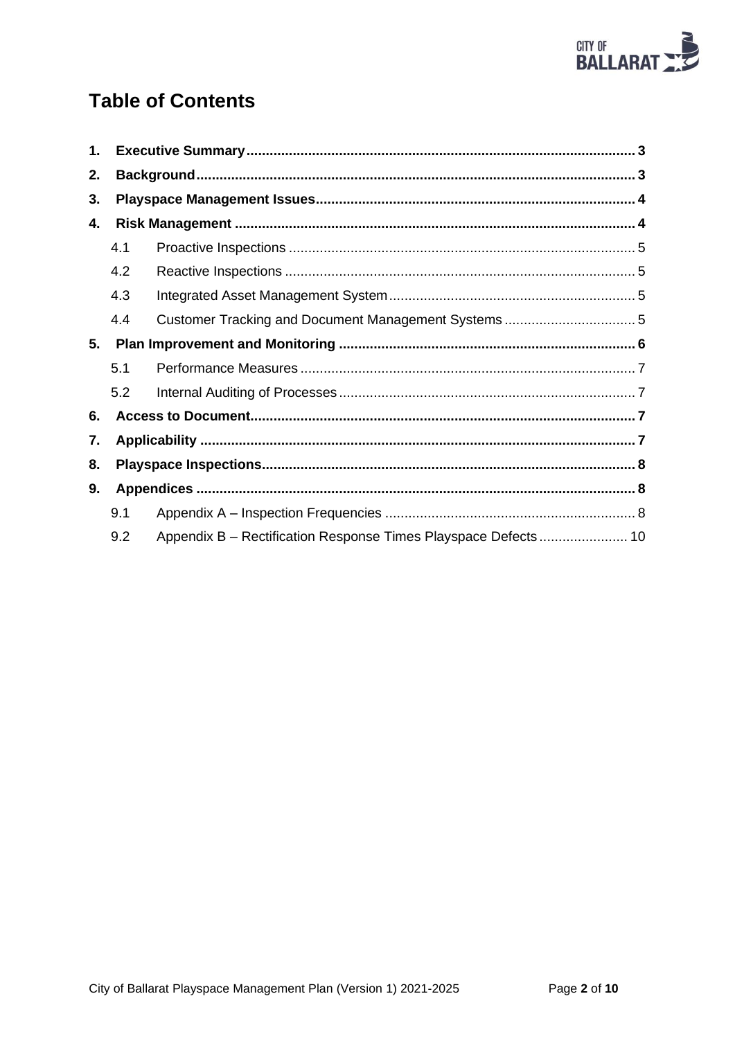

# **Table of Contents**

| 1. |     |                                                                |  |  |
|----|-----|----------------------------------------------------------------|--|--|
| 2. |     |                                                                |  |  |
| 3. |     |                                                                |  |  |
| 4. |     |                                                                |  |  |
|    | 4.1 |                                                                |  |  |
|    | 4.2 |                                                                |  |  |
|    | 4.3 |                                                                |  |  |
|    | 4.4 |                                                                |  |  |
| 5. |     |                                                                |  |  |
|    | 5.1 |                                                                |  |  |
|    | 5.2 |                                                                |  |  |
| 6. |     |                                                                |  |  |
| 7. |     |                                                                |  |  |
| 8. |     |                                                                |  |  |
| 9. |     |                                                                |  |  |
|    | 9.1 |                                                                |  |  |
|    | 9.2 | Appendix B - Rectification Response Times Playspace Defects 10 |  |  |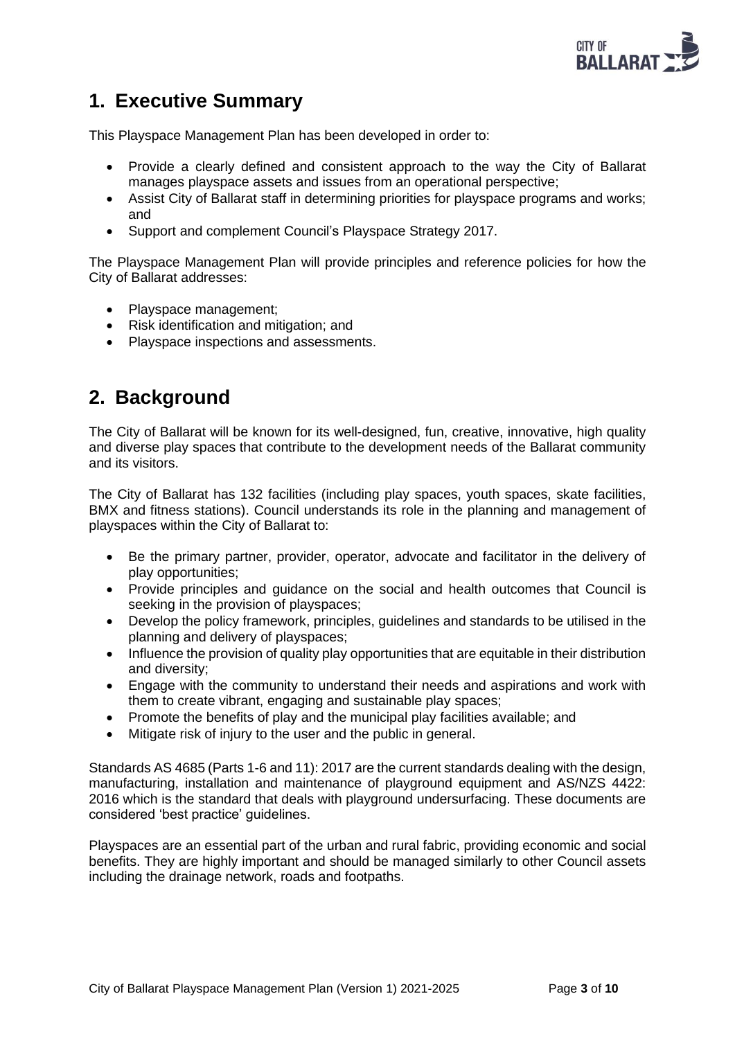

## <span id="page-2-0"></span>**1. Executive Summary**

This Playspace Management Plan has been developed in order to:

- Provide a clearly defined and consistent approach to the way the City of Ballarat manages playspace assets and issues from an operational perspective;
- Assist City of Ballarat staff in determining priorities for playspace programs and works; and
- Support and complement Council's Playspace Strategy 2017.

The Playspace Management Plan will provide principles and reference policies for how the City of Ballarat addresses:

- Playspace management;
- Risk identification and mitigation; and
- Playspace inspections and assessments.

### <span id="page-2-1"></span>**2. Background**

The City of Ballarat will be known for its well-designed, fun, creative, innovative, high quality and diverse play spaces that contribute to the development needs of the Ballarat community and its visitors.

The City of Ballarat has 132 facilities (including play spaces, youth spaces, skate facilities, BMX and fitness stations). Council understands its role in the planning and management of playspaces within the City of Ballarat to:

- Be the primary partner, provider, operator, advocate and facilitator in the delivery of play opportunities;
- Provide principles and guidance on the social and health outcomes that Council is seeking in the provision of playspaces;
- Develop the policy framework, principles, guidelines and standards to be utilised in the planning and delivery of playspaces;
- Influence the provision of quality play opportunities that are equitable in their distribution and diversity;
- Engage with the community to understand their needs and aspirations and work with them to create vibrant, engaging and sustainable play spaces;
- Promote the benefits of play and the municipal play facilities available; and
- Mitigate risk of injury to the user and the public in general.

Standards AS 4685 (Parts 1-6 and 11): 2017 are the current standards dealing with the design, manufacturing, installation and maintenance of playground equipment and AS/NZS 4422: 2016 which is the standard that deals with playground undersurfacing. These documents are considered 'best practice' guidelines.

Playspaces are an essential part of the urban and rural fabric, providing economic and social benefits. They are highly important and should be managed similarly to other Council assets including the drainage network, roads and footpaths.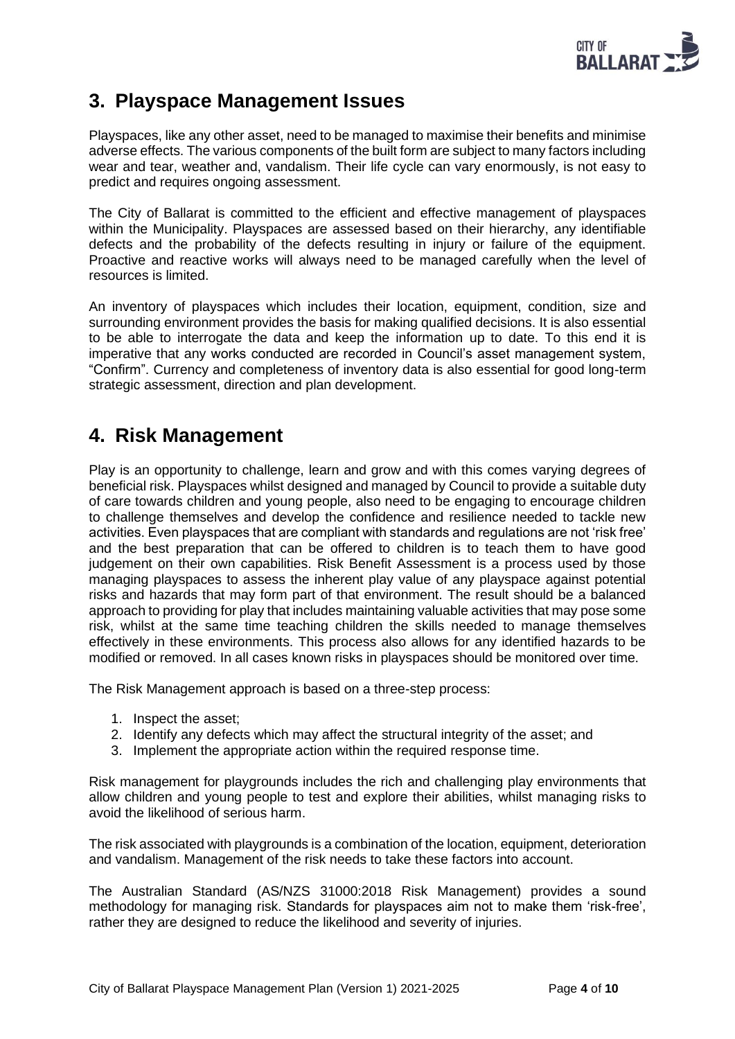

## <span id="page-3-0"></span>**3. Playspace Management Issues**

Playspaces, like any other asset, need to be managed to maximise their benefits and minimise adverse effects. The various components of the built form are subject to many factors including wear and tear, weather and, vandalism. Their life cycle can vary enormously, is not easy to predict and requires ongoing assessment.

The City of Ballarat is committed to the efficient and effective management of playspaces within the Municipality. Playspaces are assessed based on their hierarchy, any identifiable defects and the probability of the defects resulting in injury or failure of the equipment. Proactive and reactive works will always need to be managed carefully when the level of resources is limited.

An inventory of playspaces which includes their location, equipment, condition, size and surrounding environment provides the basis for making qualified decisions. It is also essential to be able to interrogate the data and keep the information up to date. To this end it is imperative that any works conducted are recorded in Council's asset management system, "Confirm". Currency and completeness of inventory data is also essential for good long-term strategic assessment, direction and plan development.

## <span id="page-3-1"></span>**4. Risk Management**

Play is an opportunity to challenge, learn and grow and with this comes varying degrees of beneficial risk. Playspaces whilst designed and managed by Council to provide a suitable duty of care towards children and young people, also need to be engaging to encourage children to challenge themselves and develop the confidence and resilience needed to tackle new activities. Even playspaces that are compliant with standards and regulations are not 'risk free' and the best preparation that can be offered to children is to teach them to have good judgement on their own capabilities. Risk Benefit Assessment is a process used by those managing playspaces to assess the inherent play value of any playspace against potential risks and hazards that may form part of that environment. The result should be a balanced approach to providing for play that includes maintaining valuable activities that may pose some risk, whilst at the same time teaching children the skills needed to manage themselves effectively in these environments. This process also allows for any identified hazards to be modified or removed. In all cases known risks in playspaces should be monitored over time.

The Risk Management approach is based on a three-step process:

- 1. Inspect the asset;
- 2. Identify any defects which may affect the structural integrity of the asset; and
- 3. Implement the appropriate action within the required response time.

Risk management for playgrounds includes the rich and challenging play environments that allow children and young people to test and explore their abilities, whilst managing risks to avoid the likelihood of serious harm.

The risk associated with playgrounds is a combination of the location, equipment, deterioration and vandalism. Management of the risk needs to take these factors into account.

The Australian Standard (AS/NZS 31000:2018 Risk Management) provides a sound methodology for managing risk. Standards for playspaces aim not to make them 'risk-free', rather they are designed to reduce the likelihood and severity of injuries.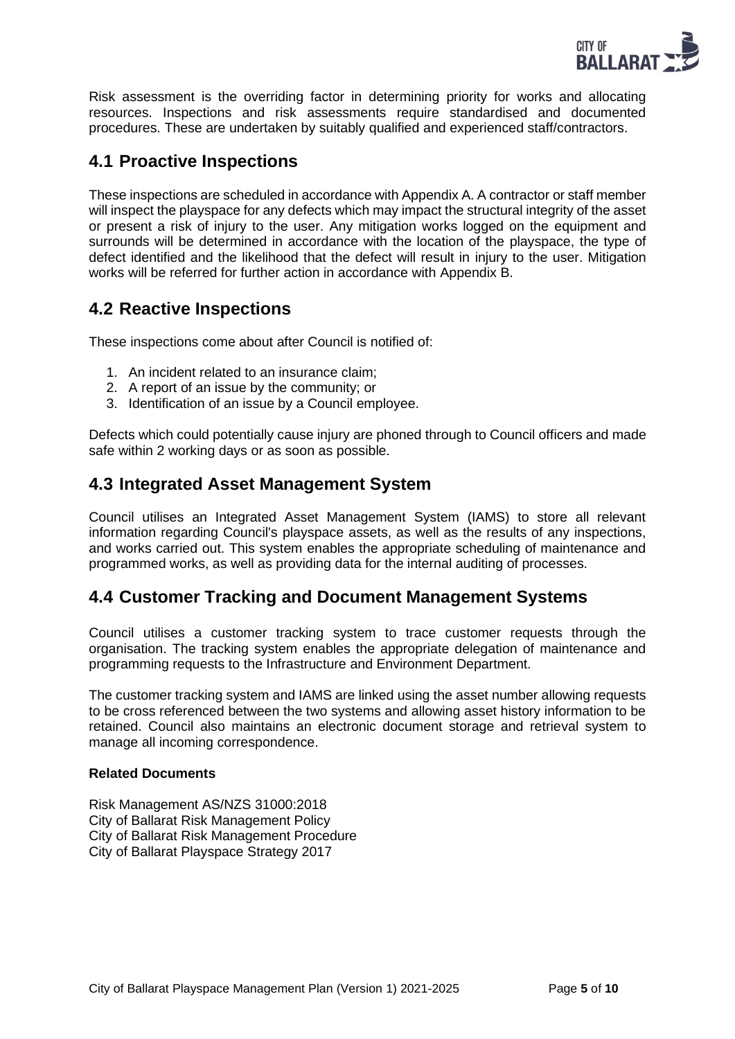

Risk assessment is the overriding factor in determining priority for works and allocating resources. Inspections and risk assessments require standardised and documented procedures. These are undertaken by suitably qualified and experienced staff/contractors.

### <span id="page-4-0"></span>**4.1 Proactive Inspections**

These inspections are scheduled in accordance with Appendix A. A contractor or staff member will inspect the playspace for any defects which may impact the structural integrity of the asset or present a risk of injury to the user. Any mitigation works logged on the equipment and surrounds will be determined in accordance with the location of the playspace, the type of defect identified and the likelihood that the defect will result in injury to the user. Mitigation works will be referred for further action in accordance with Appendix B.

### <span id="page-4-1"></span>**4.2 Reactive Inspections**

These inspections come about after Council is notified of:

- 1. An incident related to an insurance claim;
- 2. A report of an issue by the community; or
- 3. Identification of an issue by a Council employee.

Defects which could potentially cause injury are phoned through to Council officers and made safe within 2 working days or as soon as possible.

### <span id="page-4-2"></span>**4.3 Integrated Asset Management System**

Council utilises an Integrated Asset Management System (IAMS) to store all relevant information regarding Council's playspace assets, as well as the results of any inspections, and works carried out. This system enables the appropriate scheduling of maintenance and programmed works, as well as providing data for the internal auditing of processes.

### <span id="page-4-3"></span>**4.4 Customer Tracking and Document Management Systems**

Council utilises a customer tracking system to trace customer requests through the organisation. The tracking system enables the appropriate delegation of maintenance and programming requests to the Infrastructure and Environment Department.

The customer tracking system and IAMS are linked using the asset number allowing requests to be cross referenced between the two systems and allowing asset history information to be retained. Council also maintains an electronic document storage and retrieval system to manage all incoming correspondence.

#### **Related Documents**

Risk Management AS/NZS 31000:2018 City of Ballarat Risk Management Policy City of Ballarat Risk Management Procedure City of Ballarat Playspace Strategy 2017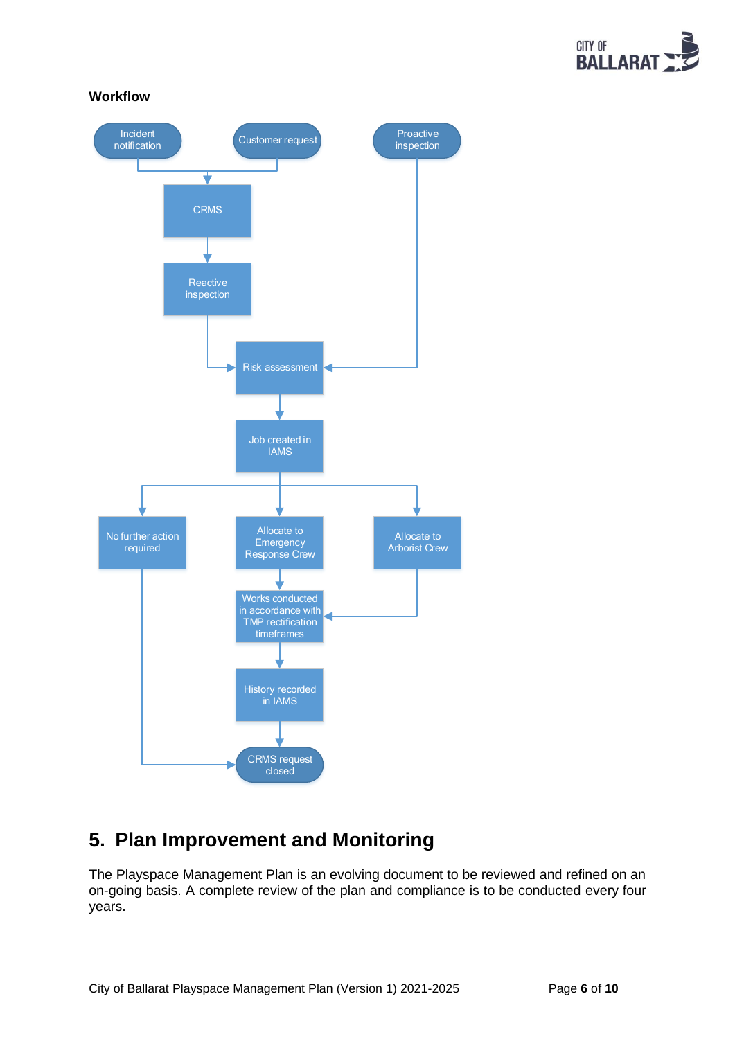

**Workflow**



# <span id="page-5-0"></span>**5. Plan Improvement and Monitoring**

The Playspace Management Plan is an evolving document to be reviewed and refined on an on-going basis. A complete review of the plan and compliance is to be conducted every four years.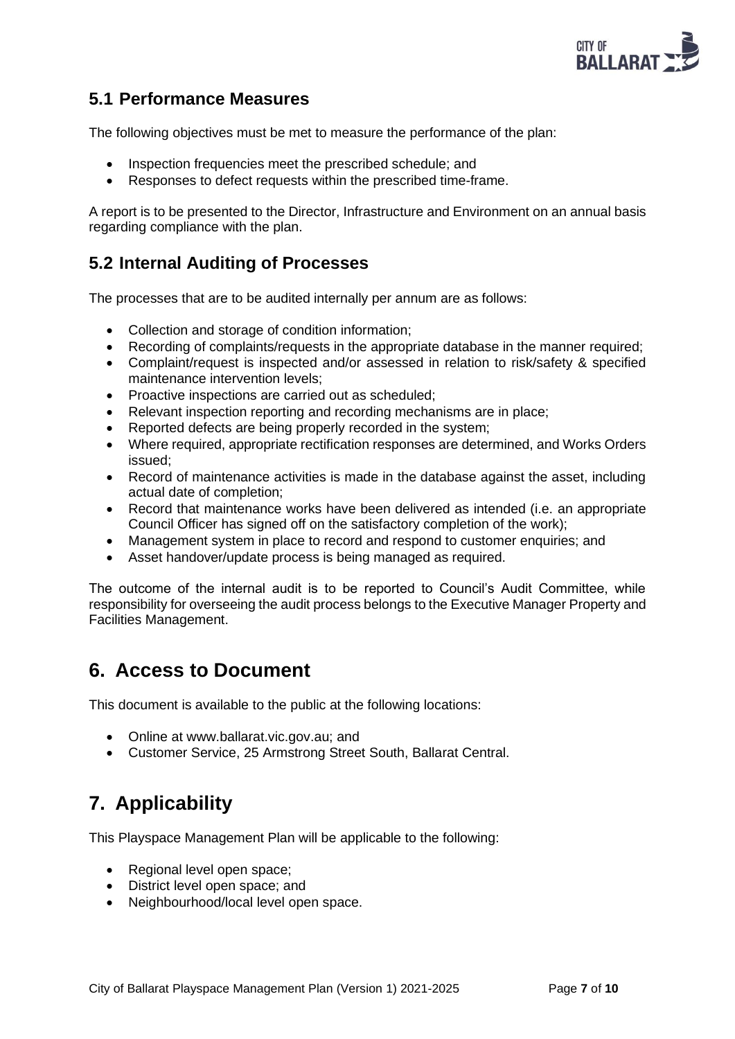

### <span id="page-6-0"></span>**5.1 Performance Measures**

The following objectives must be met to measure the performance of the plan:

- Inspection frequencies meet the prescribed schedule; and
- Responses to defect requests within the prescribed time-frame.

A report is to be presented to the Director, Infrastructure and Environment on an annual basis regarding compliance with the plan.

### <span id="page-6-1"></span>**5.2 Internal Auditing of Processes**

The processes that are to be audited internally per annum are as follows:

- Collection and storage of condition information;
- Recording of complaints/requests in the appropriate database in the manner required;
- Complaint/request is inspected and/or assessed in relation to risk/safety & specified maintenance intervention levels;
- Proactive inspections are carried out as scheduled;
- Relevant inspection reporting and recording mechanisms are in place;
- Reported defects are being properly recorded in the system;
- Where required, appropriate rectification responses are determined, and Works Orders issued;
- Record of maintenance activities is made in the database against the asset, including actual date of completion;
- Record that maintenance works have been delivered as intended (i.e. an appropriate Council Officer has signed off on the satisfactory completion of the work);
- Management system in place to record and respond to customer enquiries; and
- Asset handover/update process is being managed as required.

The outcome of the internal audit is to be reported to Council's Audit Committee, while responsibility for overseeing the audit process belongs to the Executive Manager Property and Facilities Management.

## <span id="page-6-2"></span>**6. Access to Document**

This document is available to the public at the following locations:

- Online at [www.ballarat.vic.gov.au;](file://///ballarat.vic.gov.au/files/Governance%20&%20Information%20Services%20Division/Legal%20&%20Insurance/Insurance/Temporary%20files/www.ballarat.vic.gov.au;) and
- Customer Service, 25 Armstrong Street South, Ballarat Central.

# <span id="page-6-3"></span>**7. Applicability**

This Playspace Management Plan will be applicable to the following:

- Regional level open space;
- District level open space; and
- Neighbourhood/local level open space.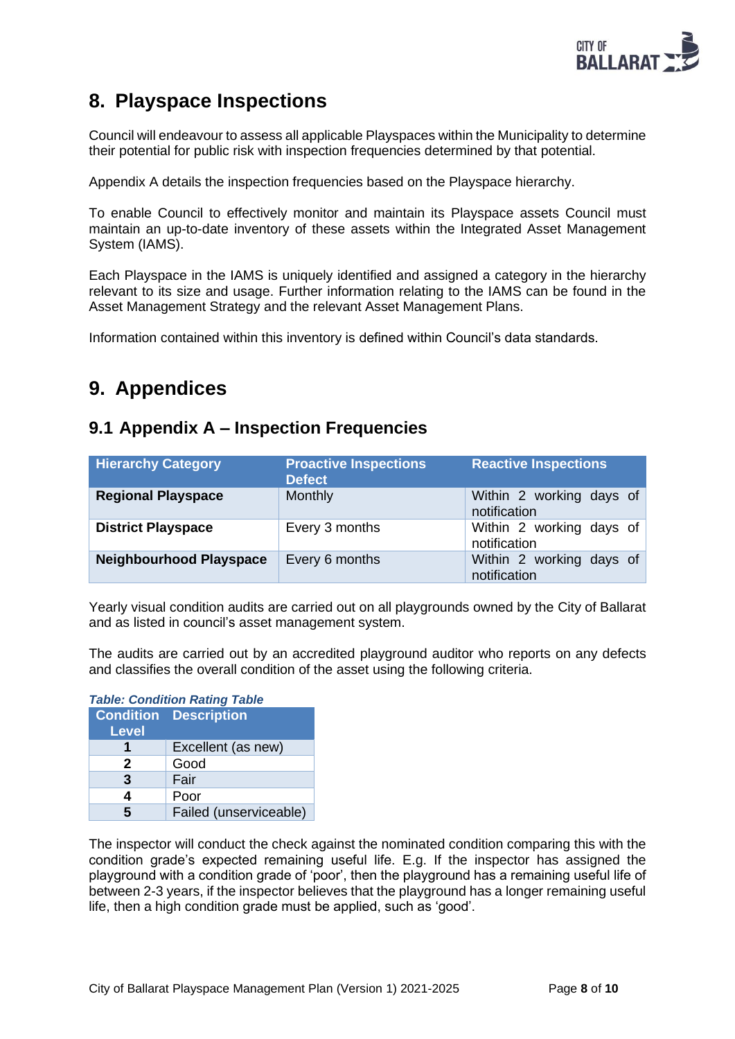

# <span id="page-7-0"></span>**8. Playspace Inspections**

Council will endeavour to assess all applicable Playspaces within the Municipality to determine their potential for public risk with inspection frequencies determined by that potential.

Appendix A details the inspection frequencies based on the Playspace hierarchy.

To enable Council to effectively monitor and maintain its Playspace assets Council must maintain an up-to-date inventory of these assets within the Integrated Asset Management System (IAMS).

Each Playspace in the IAMS is uniquely identified and assigned a category in the hierarchy relevant to its size and usage. Further information relating to the IAMS can be found in the Asset Management Strategy and the relevant Asset Management Plans.

Information contained within this inventory is defined within Council's data standards.

# <span id="page-7-1"></span>**9. Appendices**

### <span id="page-7-2"></span>**9.1 Appendix A – Inspection Frequencies**

| <b>Hierarchy Category</b>      | <b>Proactive Inspections</b><br><b>Defect</b> | <b>Reactive Inspections</b>              |  |
|--------------------------------|-----------------------------------------------|------------------------------------------|--|
| <b>Regional Playspace</b>      | Monthly                                       | Within 2 working days of<br>notification |  |
| <b>District Playspace</b>      | Every 3 months                                | Within 2 working days of<br>notification |  |
| <b>Neighbourhood Playspace</b> | Every 6 months                                | Within 2 working days of<br>notification |  |

Yearly visual condition audits are carried out on all playgrounds owned by the City of Ballarat and as listed in council's asset management system.

The audits are carried out by an accredited playground auditor who reports on any defects and classifies the overall condition of the asset using the following criteria.

| <b>Table: Condition Rating Table</b> |                              |  |  |
|--------------------------------------|------------------------------|--|--|
|                                      | <b>Condition Description</b> |  |  |
| <b>Level</b>                         |                              |  |  |
|                                      | Excellent (as new)           |  |  |
| 2                                    | Good                         |  |  |
| 3                                    | Fair                         |  |  |
| 4                                    | Poor                         |  |  |
| 5                                    | Failed (unserviceable)       |  |  |

The inspector will conduct the check against the nominated condition comparing this with the condition grade's expected remaining useful life. E.g. If the inspector has assigned the playground with a condition grade of 'poor', then the playground has a remaining useful life of between 2-3 years, if the inspector believes that the playground has a longer remaining useful life, then a high condition grade must be applied, such as 'good'.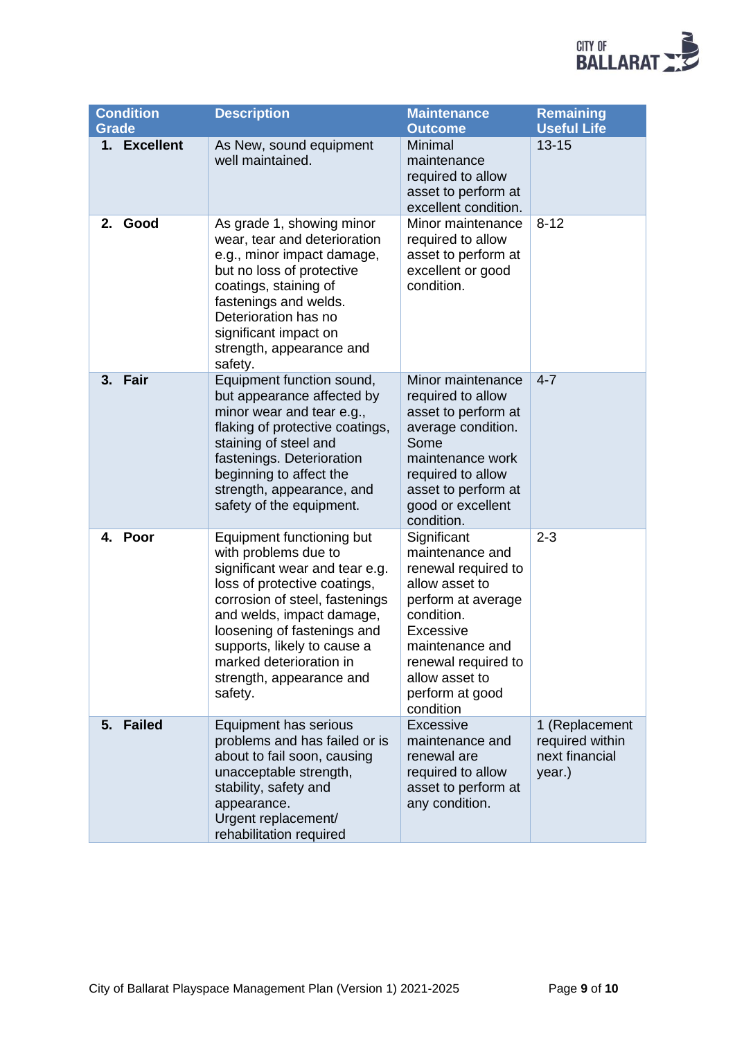

| <b>Grade</b> | Condition     | <b>Description</b>                                                                                                                                                                                                                                                                                                 | <b>Maintenance</b><br><b>Outcome</b>                                                                                                                                                                                        | <b>Remaining</b><br><b>Useful Life</b>                        |
|--------------|---------------|--------------------------------------------------------------------------------------------------------------------------------------------------------------------------------------------------------------------------------------------------------------------------------------------------------------------|-----------------------------------------------------------------------------------------------------------------------------------------------------------------------------------------------------------------------------|---------------------------------------------------------------|
|              | 1. Excellent  | As New, sound equipment<br>well maintained.                                                                                                                                                                                                                                                                        | Minimal<br>maintenance<br>required to allow<br>asset to perform at<br>excellent condition.                                                                                                                                  | $13 - 15$                                                     |
| 2.           | Good          | As grade 1, showing minor<br>wear, tear and deterioration<br>e.g., minor impact damage,<br>but no loss of protective<br>coatings, staining of<br>fastenings and welds.<br>Deterioration has no<br>significant impact on<br>strength, appearance and<br>safety.                                                     | Minor maintenance<br>required to allow<br>asset to perform at<br>excellent or good<br>condition.                                                                                                                            | $8 - 12$                                                      |
|              | 3. Fair       | Equipment function sound,<br>but appearance affected by<br>minor wear and tear e.g.,<br>flaking of protective coatings,<br>staining of steel and<br>fastenings. Deterioration<br>beginning to affect the<br>strength, appearance, and<br>safety of the equipment.                                                  | Minor maintenance<br>required to allow<br>asset to perform at<br>average condition.<br>Some<br>maintenance work<br>required to allow<br>asset to perform at<br>good or excellent<br>condition.                              | $4 - 7$                                                       |
| 4.           | Poor          | Equipment functioning but<br>with problems due to<br>significant wear and tear e.g.<br>loss of protective coatings,<br>corrosion of steel, fastenings<br>and welds, impact damage,<br>loosening of fastenings and<br>supports, likely to cause a<br>marked deterioration in<br>strength, appearance and<br>safety. | Significant<br>maintenance and<br>renewal required to<br>allow asset to<br>perform at average<br>condition.<br><b>Excessive</b><br>maintenance and<br>renewal required to<br>allow asset to<br>perform at good<br>condition | $2 - 3$                                                       |
| 5.           | <b>Failed</b> | Equipment has serious<br>problems and has failed or is<br>about to fail soon, causing<br>unacceptable strength,<br>stability, safety and<br>appearance.<br>Urgent replacement/<br>rehabilitation required                                                                                                          | <b>Excessive</b><br>maintenance and<br>renewal are<br>required to allow<br>asset to perform at<br>any condition.                                                                                                            | 1 (Replacement<br>required within<br>next financial<br>year.) |